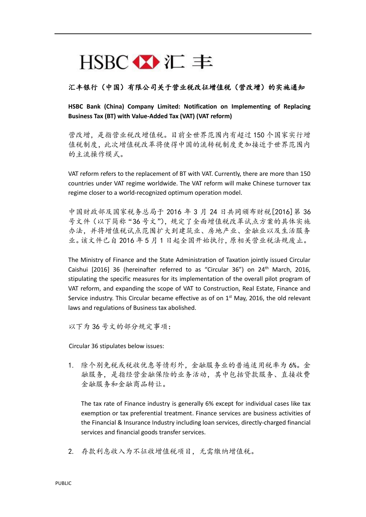## $HSBC \times E \equiv$

## 汇丰银行(中国)有限公司关于营业税改征增值税(营改增)的实施通知

**HSBC Bank (China) Company Limited: Notification on Implementing of Replacing Business Tax (BT) with Value-Added Tax (VAT) (VAT reform)**

营改增,是指营业税改增值税。目前全世界范围内有超过 150 个国家实行增 值税制度,此次增值税改革将使得中国的流转税制度更加接近于世界范围内 的主流操作模式。

VAT reform refers to the replacement of BT with VAT. Currently, there are more than 150 countries under VAT regime worldwide. The VAT reform will make Chinese turnover tax regime closer to a world-recognized optimum operation model.

中国财政部及国家税务总局于 2016 年 3 月 24 日共同颁布财税[2016]第 36 号文件(以下简称"36号文"),规定了全面增值税改革试点方案的具体实施 办法,并将增值税试点范围扩大到建筑业、房地产业、金融业以及生活服务 业。该文件已自 2016 年 5 月 1 日起全国开始执行,原相关营业税法规废止。

The Ministry of Finance and the State Administration of Taxation jointly issued Circular Caishui  $[2016]$  36 (hereinafter referred to as "Circular 36") on  $24<sup>th</sup>$  March, 2016, stipulating the specific measures for its implementation of the overall pilot program of VAT reform, and expanding the scope of VAT to Construction, Real Estate, Finance and Service industry. This Circular became effective as of on  $1<sup>st</sup>$  May, 2016, the old relevant laws and regulations of Business tax abolished.

以下为 36 号文的部分规定事项:

Circular 36 stipulates below issues:

1. 除个别免税或税收优惠等情形外,金融服务业的普遍适用税率为 6%。金 融服务,是指经营金融保险的业务活动,其中包括贷款服务、直接收费 金融服务和金融商品转让。

The tax rate of Finance industry is generally 6% except for individual cases like tax exemption or tax preferential treatment. Finance services are business activities of the Financial & Insurance Industry including loan services, directly-charged financial services and financial goods transfer services.

2. 存款利息收入为不征收增值税项目,无需缴纳增值税。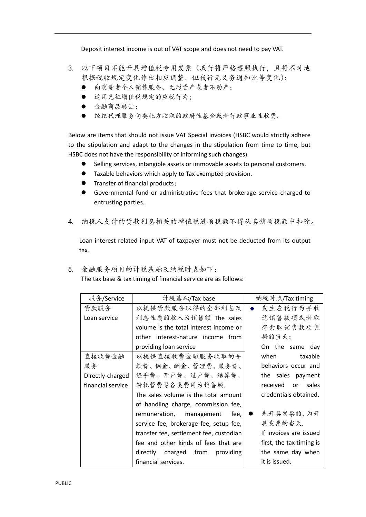Deposit interest income is out of VAT scope and does not need to pay VAT.

- 3. 以下项目不能开具增值税专用发票(我行将严格遵照执行,且将不时地 根据税收规定变化作出相应调整,但我行无义务通知此等变化):
	- 向消费者个人销售服务、无形资产或者不动产;
	- 适用免征增值税规定的应税行为;
	- 金融商品转让;
	- 经纪代理服务向委托方收取的政府性基金或者行政事业性收费。

Below are items that should not issue VAT Special invoices (HSBC would strictly adhere to the stipulation and adapt to the changes in the stipulation from time to time, but HSBC does not have the responsibility of informing such changes).

- Selling services, intangible assets or immovable assets to personal customers.
- Taxable behaviors which apply to Tax exempted provision.
- **•** Transfer of financial products;
- Governmental fund or administrative fees that brokerage service charged to entrusting parties.
- 4. 纳税人支付的贷款利息相关的增值税进项税额不得从其销项税额中扣除。

Loan interest related input VAT of taxpayer must not be deducted from its output tax.

5. 金融服务项目的计税基础及纳税时点如下: The tax base & tax timing of financial service are as follows:

| 服务/Service        | 计税基础/Tax base                           | 纳税时点/Tax timing          |
|-------------------|-----------------------------------------|--------------------------|
| 贷款服务              | 以提供贷款服务取得的全部利息及                         | 发生应税行为并收                 |
| Loan service      | 利息性质的收入为销售额 The sales                   | 讫销售款项或者取                 |
|                   | volume is the total interest income or  | 得索取销售款项凭                 |
|                   | other interest-nature income from       | 据的当天:                    |
|                   | providing loan service                  | On the same day          |
| 直接收费金融            | 以提供直接收费金融服务收取的手                         | when<br>taxable          |
| 服务                | 续费、佣金、酬金、管理费、服务费、                       | behaviors occur and      |
| Directly-charged  | 经手费、开户费、过户费、结算费、                        | the sales payment        |
| financial service | 转托管费等各类费用为销售额.                          | received or<br>sales     |
|                   | The sales volume is the total amount    | credentials obtained.    |
|                   | of handling charge, commission fee,     |                          |
|                   | remuneration, management fee,           | 先开具发票的,为开                |
|                   | service fee, brokerage fee, setup fee,  | 具发票的当天.                  |
|                   | transfer fee, settlement fee, custodian | If invoices are issued   |
|                   | fee and other kinds of fees that are    | first, the tax timing is |
|                   | directly charged from<br>providing      | the same day when        |
|                   | financial services.                     | it is issued.            |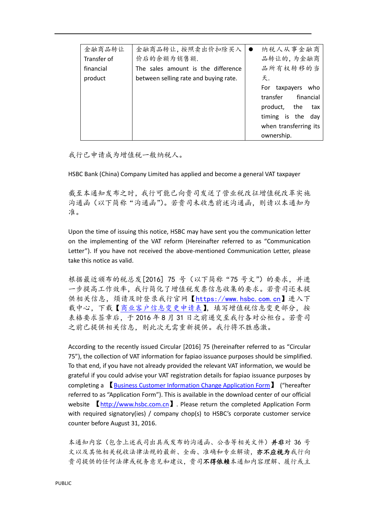| 金融商品转让      | 金融商品转让, 按照卖出价扣除买入                     | 纳税人从事金融商                |  |
|-------------|---------------------------------------|-------------------------|--|
| Transfer of | 价后的余额为销售额.                            | 品转让的,为金融商               |  |
| financial   | The sales amount is the difference    | 品所有权转移的当                |  |
| product     | between selling rate and buying rate. | 天.                      |  |
|             |                                       | taxpayers<br>For<br>who |  |
|             |                                       | financial<br>transfer   |  |
|             |                                       | product,<br>the<br>tax  |  |
|             |                                       | timing is the<br>day    |  |
|             |                                       | when transferring its   |  |
|             |                                       | ownership.              |  |

我行已申请成为增值税一般纳税人。

HSBC Bank (China) Company Limited has applied and become a general VAT taxpayer

截至本通知发布之时,我行可能已向贵司发送了营业税改征增值税改革实施 沟通函(以下简称"沟通函")。若贵司未收悉前述沟通函,则请以本通知为 准。

Upon the time of issuing this notice, HSBC may have sent you the communication letter on the implementing of the VAT reform (Hereinafter referred to as "Communication Letter"). If you have not received the above-mentioned Communication Letter, please take this notice as valid.

根据最近颁布的税总发[2016] 75 号 (以下简称"75 号文")的要求,并进 一步提高工作效率,我行简化了增值税发票信息收集的要求。若贵司还未提 供相关信息,烦请及时登录我行官网【[https://www.hsbc.com.cn](https://www.hsbc.com.cn/)】进入下 载中心,下载[【商业客户信息变更申请表】](http://www.hsbc.com.cn/1/PA_ES_Content_Mgmt/content/china/generic/download/documents/AOC-CUA-024_b.pdf),填写增值税信息变更部分,按 表格要求签章后,于 2016 年 8 月 31 日之前递交至我行各对公柜台。若贵司 之前已提供相关信息,则此次无需重新提供。我行将不胜感激。

According to the recently issued Circular [2016] 75 (hereinafter referred to as "Circular 75"), the collection of VAT information for fapiao issuance purposes should be simplified. To that end, if you have not already provided the relevant VAT information, we would be grateful if you could advise your VAT registration details for fapiao issuance purposes by completing a 【[Business Customer Information Change Application Form](http://www.hsbc.com.cn/1/PA_ES_Content_Mgmt/content/china/generic/download/documents/AOC-CUA-024_b.pdf)】 ("hereafter referred to as "Application Form"). This is available in the download center of our official website [http://www.hsbc.com.cn](http://www.hsbc.com.cn/) . Please return the completed Application Form with required signatory(ies) / company chop(s) to HSBC's corporate customer service counter before August 31, 2016.

本通知内容(包含上述我司出具或发布的沟通函、公告等相关文件)并非对 36 号 文以及其他相关税收法律法规的最新、全面、准确和专业解读,亦不应视为我行向 贵司提供的任何法律或税务意见和建议,贵司不得依赖本通知内容理解、履行或主